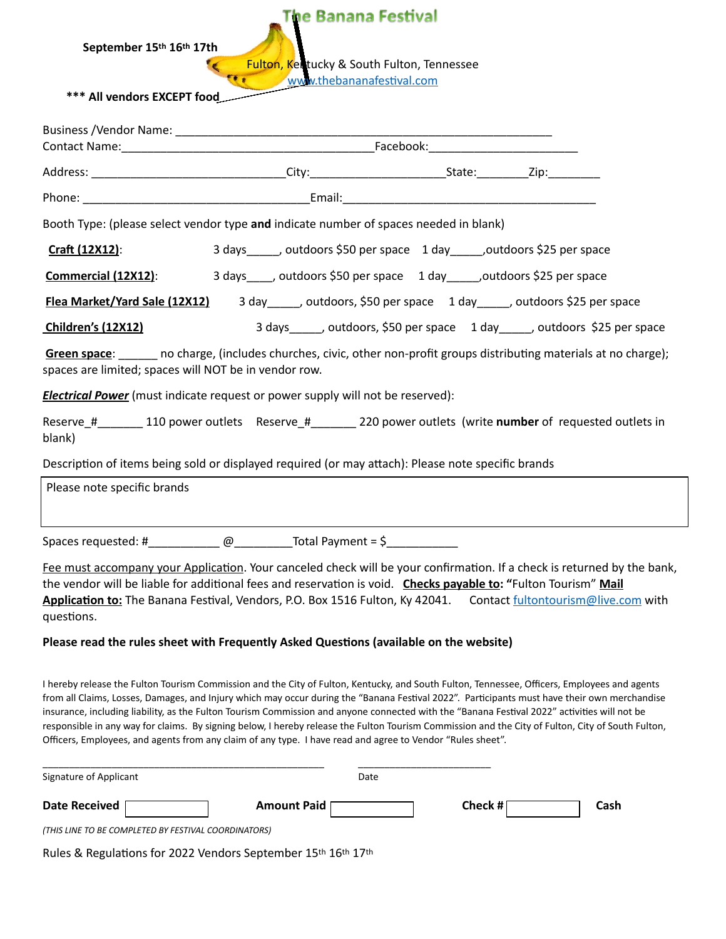## **The Banana Festival**

**September 15th 16th 17th** 

Fulton, Kentucky & South Fulton, Tennessee [www.thebananafestival.com](http://www.thebananafestival.com)

 **\*\*\* All vendors EXCEPT food** 

.

|                                                                                                    | Booth Type: (please select vendor type and indicate number of spaces needed in blank)                                                                                                                                                                                                                                                                           |  |                                                                             |  |
|----------------------------------------------------------------------------------------------------|-----------------------------------------------------------------------------------------------------------------------------------------------------------------------------------------------------------------------------------------------------------------------------------------------------------------------------------------------------------------|--|-----------------------------------------------------------------------------|--|
| Craft (12X12):                                                                                     | 3 days ______, outdoors \$50 per space 1 day ______, outdoors \$25 per space                                                                                                                                                                                                                                                                                    |  |                                                                             |  |
| Commercial (12X12):                                                                                | 3 days_____, outdoors \$50 per space 1 day______, outdoors \$25 per space                                                                                                                                                                                                                                                                                       |  |                                                                             |  |
|                                                                                                    | Flea Market/Yard Sale (12X12) 3 day _____, outdoors, \$50 per space 1 day ____, outdoors \$25 per space                                                                                                                                                                                                                                                         |  |                                                                             |  |
| <b>Children's (12X12)</b>                                                                          |                                                                                                                                                                                                                                                                                                                                                                 |  | 3 days______, outdoors, \$50 per space 1 day______, outdoors \$25 per space |  |
| spaces are limited; spaces will NOT be in vendor row.                                              | Green space: no charge, (includes churches, civic, other non-profit groups distributing materials at no charge);                                                                                                                                                                                                                                                |  |                                                                             |  |
|                                                                                                    | <b>Electrical Power</b> (must indicate request or power supply will not be reserved):                                                                                                                                                                                                                                                                           |  |                                                                             |  |
| blank)                                                                                             | Reserve_#_________110 power outlets Reserve_#___________220 power outlets (write number of requested outlets in                                                                                                                                                                                                                                                 |  |                                                                             |  |
| Description of items being sold or displayed required (or may attach): Please note specific brands |                                                                                                                                                                                                                                                                                                                                                                 |  |                                                                             |  |
| Please note specific brands                                                                        |                                                                                                                                                                                                                                                                                                                                                                 |  |                                                                             |  |
|                                                                                                    | Spaces requested: #______________@_____________Total Payment = $\frac{\xi_1}{\xi_2}$                                                                                                                                                                                                                                                                            |  |                                                                             |  |
| questions.                                                                                         | Fee must accompany your Application. Your canceled check will be your confirmation. If a check is returned by the bank,<br>the vendor will be liable for additional fees and reservation is void. Checks payable to: "Fulton Tourism" Mail<br>Application to: The Banana Festival, Vendors, P.O. Box 1516 Fulton, Ky 42041. Contact fultontourism@live.com with |  |                                                                             |  |
|                                                                                                    | Please read the rules sheet with Frequently Asked Questions (available on the website)                                                                                                                                                                                                                                                                          |  |                                                                             |  |

I hereby release the Fulton Tourism Commission and the City of Fulton, Kentucky, and South Fulton, Tennessee, Officers, Employees and agents from all Claims, Losses, Damages, and Injury which may occur during the "Banana Festival 2022". Participants must have their own merchandise insurance, including liability, as the Fulton Tourism Commission and anyone connected with the "Banana Festival 2022" activities will not be responsible in any way for claims. By signing below, I hereby release the Fulton Tourism Commission and the City of Fulton, City of South Fulton,

| Signature of Applicant                               | Date               |                 |  |  |
|------------------------------------------------------|--------------------|-----------------|--|--|
| <b>Date Received</b>                                 | <b>Amount Paid</b> | Check #<br>Cash |  |  |
| (THIS LINE TO BE COMPLETED BY FESTIVAL COORDINATORS) |                    |                 |  |  |

Officers, Employees, and agents from any claim of any type. I have read and agree to Vendor "Rules sheet".

Rules & Regulations for 2022 Vendors September 15th 16th 17th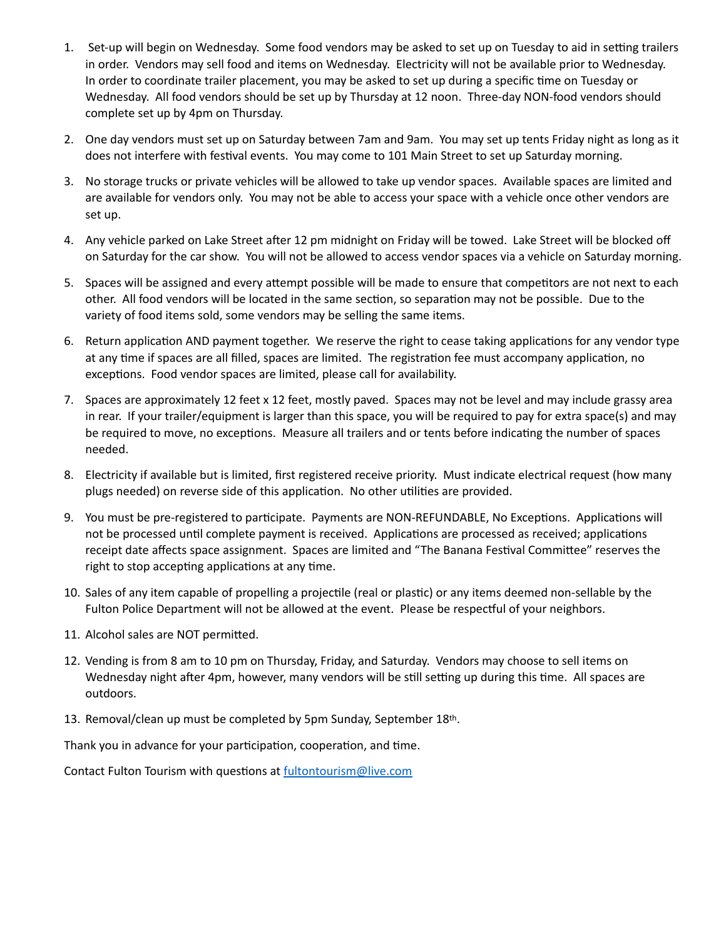- 1. Set-up will begin on Wednesday. Some food vendors may be asked to set up on Tuesday to aid in setting trailers in order. Vendors may sell food and items on Wednesday. Electricity will not be available prior to Wednesday. In order to coordinate trailer placement, you may be asked to set up during a specific time on Tuesday or Wednesday. All food vendors should be set up by Thursday at 12 noon. Three-day NON-food vendors should complete set up by 4pm on Thursday.
- 2. One day vendors must set up on Saturday between 7am and 9am. You may set up tents Friday night as long as it does not interfere with festival events. You may come to 101 Main Street to set up Saturday morning.
- 3. No storage trucks or private vehicles will be allowed to take up vendor spaces. Available spaces are limited and are available for vendors only. You may not be able to access your space with a vehicle once other vendors are set up.
- 4. Any vehicle parked on Lake Street after 12 pm midnight on Friday will be towed. Lake Street will be blocked off on Saturday for the car show. You will not be allowed to access vendor spaces via a vehicle on Saturday morning.
- 5. Spaces will be assigned and every attempt possible will be made to ensure that competitors are not next to each other. All food vendors will be located in the same section, so separation may not be possible. Due to the variety of food items sold, some vendors may be selling the same items.
- 6. Return application AND payment together. We reserve the right to cease taking applications for any vendor type at any time if spaces are all filled, spaces are limited. The registration fee must accompany application, no exceptions. Food vendor spaces are limited, please call for availability.
- 7. Spaces are approximately 12 feet x 12 feet, mostly paved. Spaces may not be level and may include grassy area in rear. If your trailer/equipment is larger than this space, you will be required to pay for extra space(s) and may be required to move, no exceptions. Measure all trailers and or tents before indicating the number of spaces needed.
- 8. Electricity if available but is limited, first registered receive priority. Must indicate electrical request (how many plugs needed) on reverse side of this application. No other utilities are provided.
- 9. You must be pre-registered to participate. Payments are NON-REFUNDABLE, No Exceptions. Applications will not be processed until complete payment is received. Applications are processed as received; applications receipt date affects space assignment. Spaces are limited and "The Banana Festival Committee" reserves the right to stop accepting applications at any time.
- 10. Sales of any item capable of propelling a projectile (real or plastic) or any items deemed non-sellable by the Fulton Police Department will not be allowed at the event. Please be respectful of your neighbors.
- 11. Alcohol sales are NOT permitted.
- 12. Vending is from 8 am to 10 pm on Thursday, Friday, and Saturday. Vendors may choose to sell items on Wednesday night after 4pm, however, many vendors will be still setting up during this time. All spaces are outdoors.
- 13. Removal/clean up must be completed by 5pm Sunday, September 18th.

Thank you in advance for your participation, cooperation, and time.

Contact Fulton Tourism with questions at [fultontourism@live.com](mailto:fultontourism@live.com)